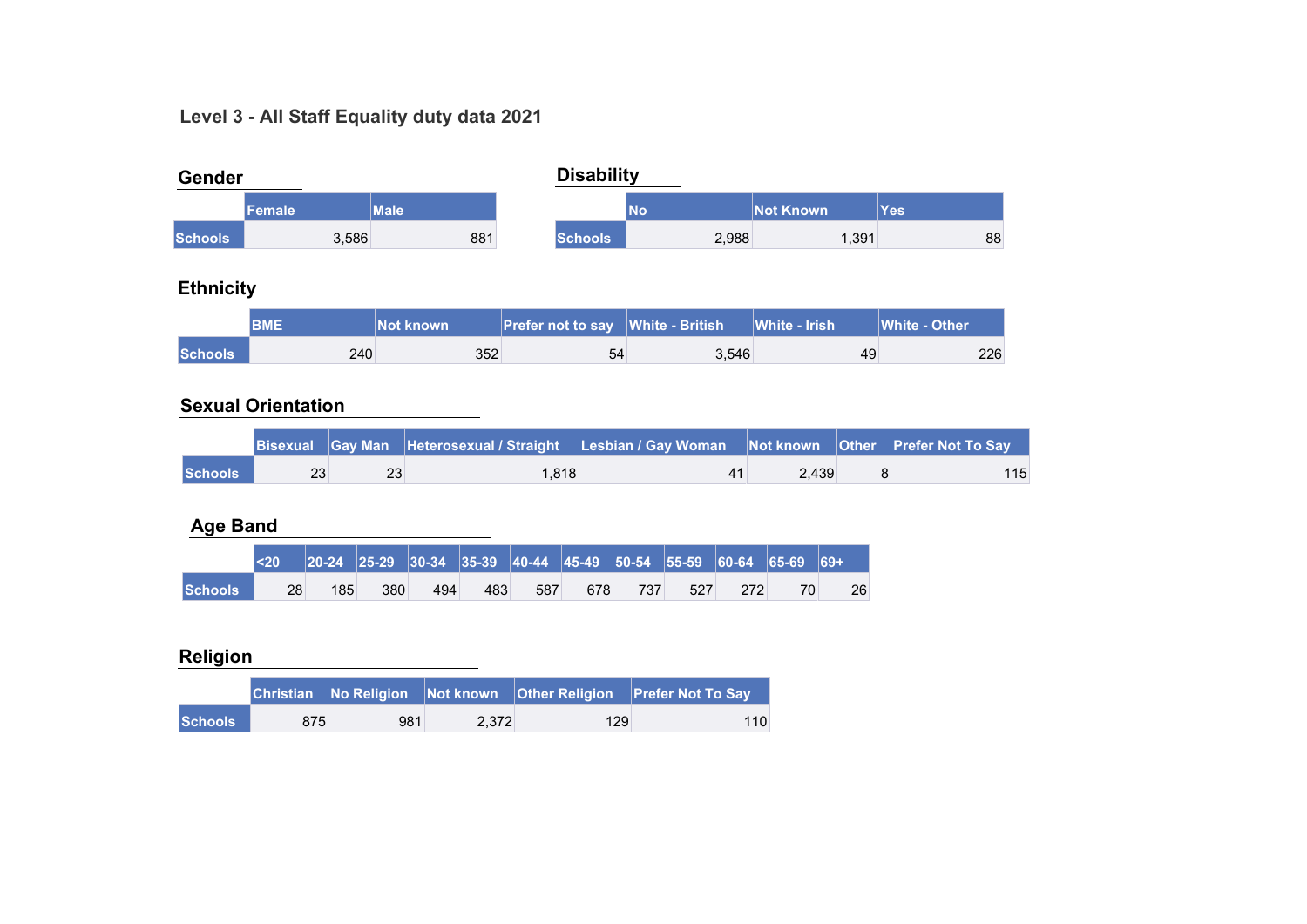# **Level 3 - All Staff Equality duty data 2021**

| <b>Gender</b>  |        |       |                | <b>Disability</b> |                  |            |  |  |
|----------------|--------|-------|----------------|-------------------|------------------|------------|--|--|
|                | Female | Male' |                | <b>NO</b>         | <b>Not Known</b> | <b>Yes</b> |  |  |
| <b>Schools</b> | 3,586  | 881   | <b>Schools</b> | 2,988             | 1,391            | 88         |  |  |

## **Ethnicity**

|                | <b>BME</b> | Not known | <b>Prefer not to say White - British</b> |       | <b>White - Irish</b> | <b>White - Other</b> |
|----------------|------------|-----------|------------------------------------------|-------|----------------------|----------------------|
| <b>Schools</b> | 240        | 352       | 54                                       | 3,546 | 49                   | 226                  |

## **Sexual Orientation**

|                |  | <b>Bisexual Gay Man Heterosexual / Straight Lesbian / Gay Woman Not known Other Prefer Not To Say</b> |       |     |
|----------------|--|-------------------------------------------------------------------------------------------------------|-------|-----|
| <b>Schools</b> |  | 1.818                                                                                                 | 2.439 | 115 |

## **Age Band**

|                |    |     |     |     |     |     |     |     |     | 20-24   25-29   30-34   35-39   40-44   45-49   50-54   55-59   60-64   65-69   69+ ' |    |
|----------------|----|-----|-----|-----|-----|-----|-----|-----|-----|---------------------------------------------------------------------------------------|----|
| <b>Schools</b> | 28 | 185 | 380 | 494 | 483 | 587 | 678 | 737 | 527 |                                                                                       | 26 |

## **Religion**

|                |     |     |       |     | Christian No Religion Not known Other Religion Prefer Not To Say |
|----------------|-----|-----|-------|-----|------------------------------------------------------------------|
| <b>Schools</b> | 875 | 981 | 2.372 | 129 | 110                                                              |